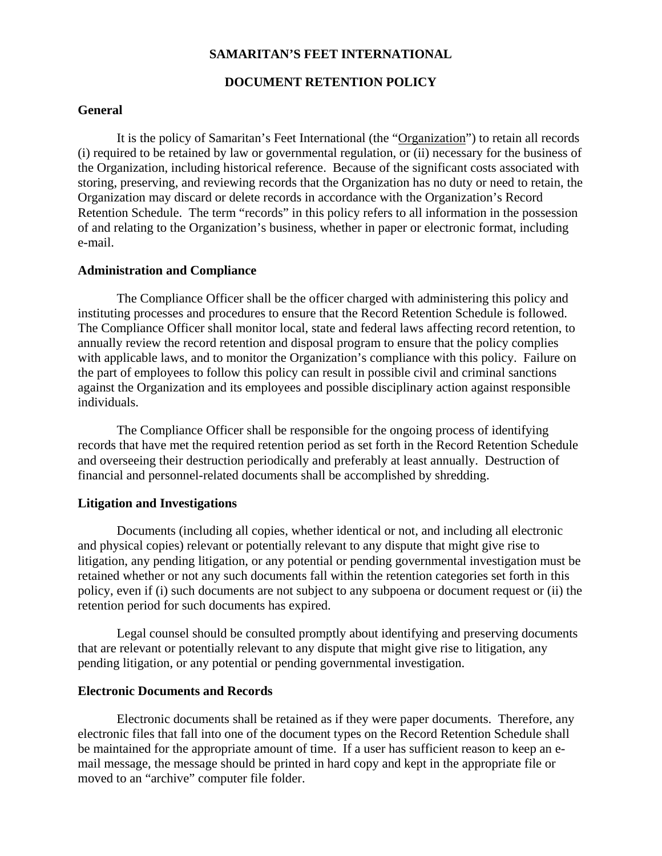## **SAMARITAN'S FEET INTERNATIONAL**

## **DOCUMENT RETENTION POLICY**

## **General**

It is the policy of Samaritan's Feet International (the "Organization") to retain all records (i) required to be retained by law or governmental regulation, or (ii) necessary for the business of the Organization, including historical reference. Because of the significant costs associated with storing, preserving, and reviewing records that the Organization has no duty or need to retain, the Organization may discard or delete records in accordance with the Organization's Record Retention Schedule. The term "records" in this policy refers to all information in the possession of and relating to the Organization's business, whether in paper or electronic format, including e-mail.

### **Administration and Compliance**

The Compliance Officer shall be the officer charged with administering this policy and instituting processes and procedures to ensure that the Record Retention Schedule is followed. The Compliance Officer shall monitor local, state and federal laws affecting record retention, to annually review the record retention and disposal program to ensure that the policy complies with applicable laws, and to monitor the Organization's compliance with this policy. Failure on the part of employees to follow this policy can result in possible civil and criminal sanctions against the Organization and its employees and possible disciplinary action against responsible individuals.

The Compliance Officer shall be responsible for the ongoing process of identifying records that have met the required retention period as set forth in the Record Retention Schedule and overseeing their destruction periodically and preferably at least annually. Destruction of financial and personnel-related documents shall be accomplished by shredding.

#### **Litigation and Investigations**

Documents (including all copies, whether identical or not, and including all electronic and physical copies) relevant or potentially relevant to any dispute that might give rise to litigation, any pending litigation, or any potential or pending governmental investigation must be retained whether or not any such documents fall within the retention categories set forth in this policy, even if (i) such documents are not subject to any subpoena or document request or (ii) the retention period for such documents has expired.

Legal counsel should be consulted promptly about identifying and preserving documents that are relevant or potentially relevant to any dispute that might give rise to litigation, any pending litigation, or any potential or pending governmental investigation.

## **Electronic Documents and Records**

Electronic documents shall be retained as if they were paper documents. Therefore, any electronic files that fall into one of the document types on the Record Retention Schedule shall be maintained for the appropriate amount of time. If a user has sufficient reason to keep an email message, the message should be printed in hard copy and kept in the appropriate file or moved to an "archive" computer file folder.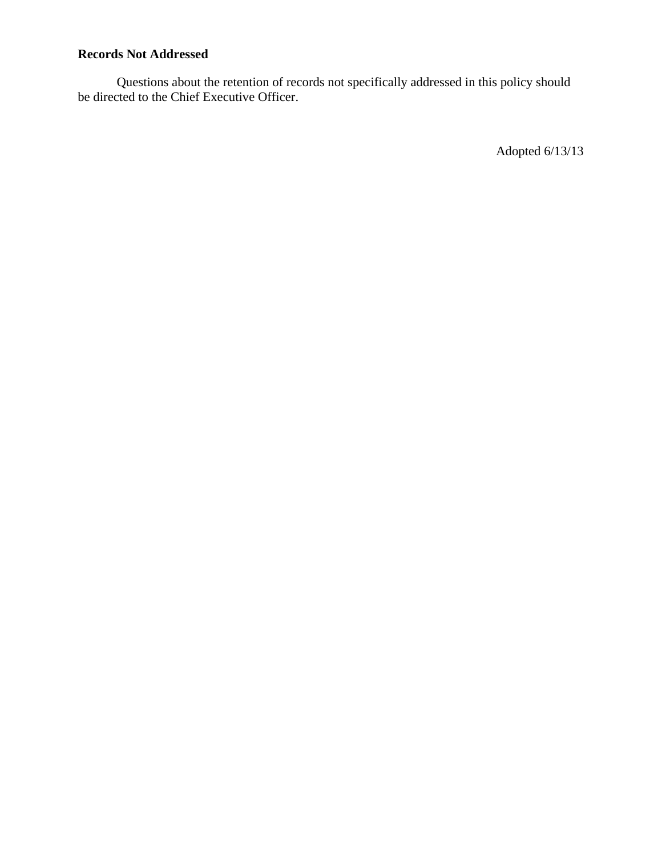# **Records Not Addressed**

Questions about the retention of records not specifically addressed in this policy should be directed to the Chief Executive Officer.

Adopted 6/13/13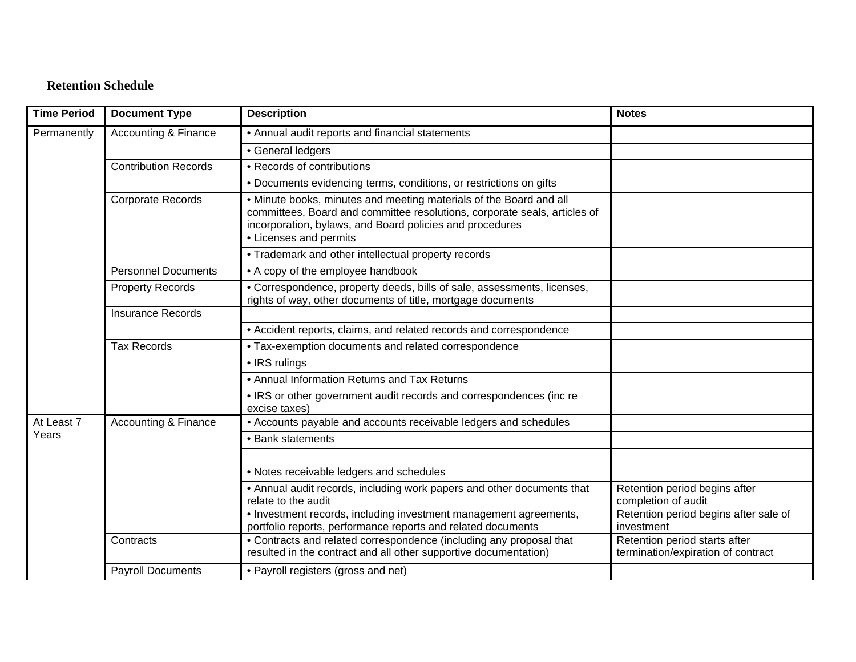## **Retention Schedule**

| <b>Time Period</b>  | <b>Document Type</b>            | <b>Description</b>                                                                                                                                                                                          | <b>Notes</b>                                                        |
|---------------------|---------------------------------|-------------------------------------------------------------------------------------------------------------------------------------------------------------------------------------------------------------|---------------------------------------------------------------------|
| Permanently         | <b>Accounting &amp; Finance</b> | • Annual audit reports and financial statements                                                                                                                                                             |                                                                     |
|                     |                                 | • General ledgers                                                                                                                                                                                           |                                                                     |
|                     | <b>Contribution Records</b>     | • Records of contributions                                                                                                                                                                                  |                                                                     |
|                     |                                 | • Documents evidencing terms, conditions, or restrictions on gifts                                                                                                                                          |                                                                     |
|                     | <b>Corporate Records</b>        | . Minute books, minutes and meeting materials of the Board and all<br>committees, Board and committee resolutions, corporate seals, articles of<br>incorporation, bylaws, and Board policies and procedures |                                                                     |
|                     |                                 | • Licenses and permits                                                                                                                                                                                      |                                                                     |
|                     |                                 | • Trademark and other intellectual property records                                                                                                                                                         |                                                                     |
|                     | <b>Personnel Documents</b>      | • A copy of the employee handbook                                                                                                                                                                           |                                                                     |
|                     | <b>Property Records</b>         | • Correspondence, property deeds, bills of sale, assessments, licenses,<br>rights of way, other documents of title, mortgage documents                                                                      |                                                                     |
|                     | <b>Insurance Records</b>        |                                                                                                                                                                                                             |                                                                     |
|                     |                                 | • Accident reports, claims, and related records and correspondence                                                                                                                                          |                                                                     |
|                     | <b>Tax Records</b>              | • Tax-exemption documents and related correspondence                                                                                                                                                        |                                                                     |
|                     |                                 | • IRS rulings                                                                                                                                                                                               |                                                                     |
|                     |                                 | • Annual Information Returns and Tax Returns                                                                                                                                                                |                                                                     |
|                     |                                 | . IRS or other government audit records and correspondences (inc re<br>excise taxes)                                                                                                                        |                                                                     |
| At Least 7<br>Years | <b>Accounting &amp; Finance</b> | • Accounts payable and accounts receivable ledgers and schedules                                                                                                                                            |                                                                     |
|                     |                                 | • Bank statements                                                                                                                                                                                           |                                                                     |
|                     |                                 |                                                                                                                                                                                                             |                                                                     |
|                     |                                 | • Notes receivable ledgers and schedules                                                                                                                                                                    |                                                                     |
|                     |                                 | • Annual audit records, including work papers and other documents that<br>relate to the audit                                                                                                               | Retention period begins after<br>completion of audit                |
|                     |                                 | • Investment records, including investment management agreements,<br>portfolio reports, performance reports and related documents                                                                           | Retention period begins after sale of<br>investment                 |
|                     | Contracts                       | • Contracts and related correspondence (including any proposal that<br>resulted in the contract and all other supportive documentation)                                                                     | Retention period starts after<br>termination/expiration of contract |
|                     | <b>Payroll Documents</b>        | • Payroll registers (gross and net)                                                                                                                                                                         |                                                                     |